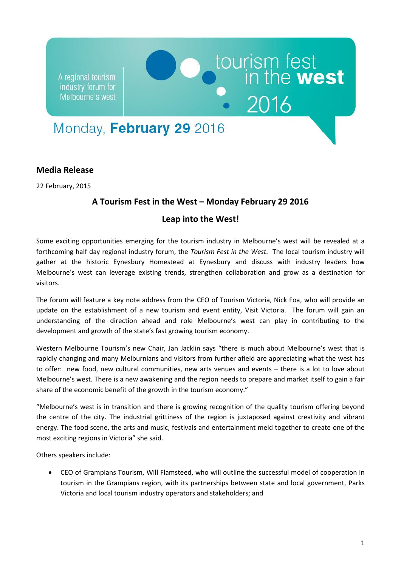A regional tourism industry forum for Melbourne's west

## Monday, February 29 2016

## **Media Release**

22 February, 2015

## **A Tourism Fest in the West – Monday February 29 2016**

tourism fest<br> **O** in the **west** 

2016

## **Leap into the West!**

Some exciting opportunities emerging for the tourism industry in Melbourne's west will be revealed at a forthcoming half day regional industry forum, the *Tourism Fest in the West.* The local tourism industry will gather at the historic Eynesbury Homestead at Eynesbury and discuss with industry leaders how Melbourne's west can leverage existing trends, strengthen collaboration and grow as a destination for visitors.

The forum will feature a key note address from the CEO of Tourism Victoria, Nick Foa, who will provide an update on the establishment of a new tourism and event entity, Visit Victoria. The forum will gain an understanding of the direction ahead and role Melbourne's west can play in contributing to the development and growth of the state's fast growing tourism economy.

Western Melbourne Tourism's new Chair, Jan Jacklin says "there is much about Melbourne's west that is rapidly changing and many Melburnians and visitors from further afield are appreciating what the west has to offer: new food, new cultural communities, new arts venues and events – there is a lot to love about Melbourne's west. There is a new awakening and the region needs to prepare and market itself to gain a fair share of the economic benefit of the growth in the tourism economy."

"Melbourne's west is in transition and there is growing recognition of the quality tourism offering beyond the centre of the city. The industrial grittiness of the region is juxtaposed against creativity and vibrant energy. The food scene, the arts and music, festivals and entertainment meld together to create one of the most exciting regions in Victoria" she said.

Others speakers include:

 CEO of Grampians Tourism, Will Flamsteed, who will outline the successful model of cooperation in tourism in the Grampians region, with its partnerships between state and local government, Parks Victoria and local tourism industry operators and stakeholders; and